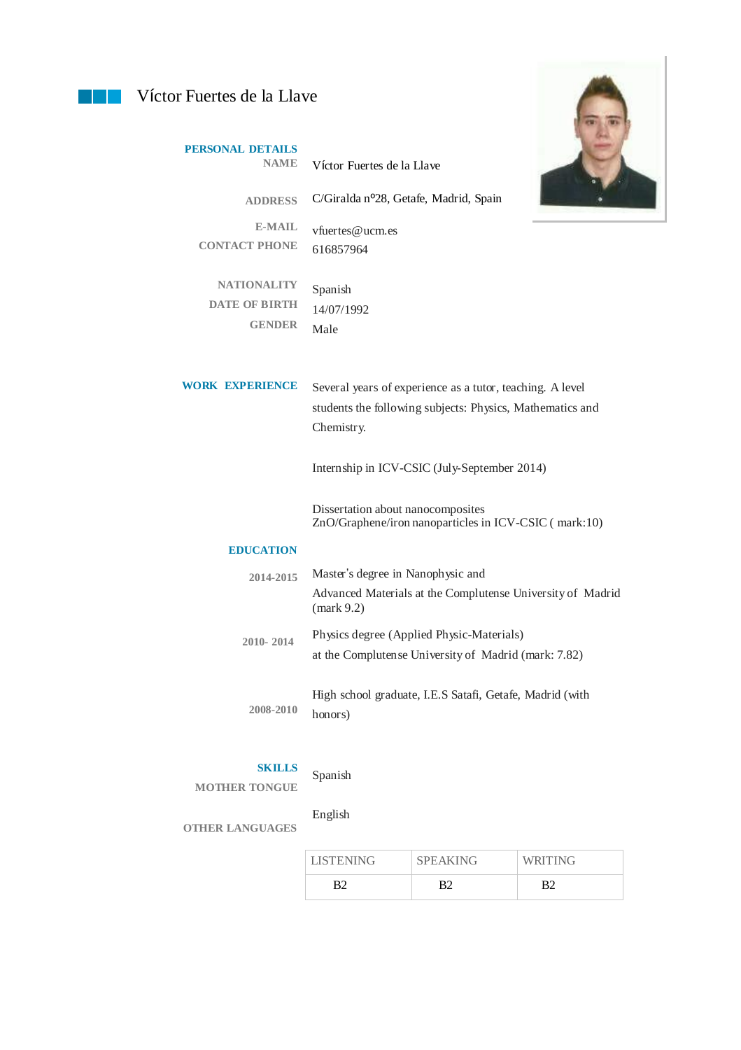## **Víctor Fuertes de la Llave**

**PERSONAL DETAILS** 



| <b>NAME</b>                           | Víctor Fuertes de la Llave                                                                 |
|---------------------------------------|--------------------------------------------------------------------------------------------|
| <b>ADDRESS</b>                        | C/Giralda nº28, Getafe, Madrid, Spain                                                      |
| <b>E-MAIL</b><br><b>CONTACT PHONE</b> | vfuertes@ucm.es                                                                            |
|                                       | 616857964                                                                                  |
| <b>NATIONALITY</b>                    | Spanish                                                                                    |
| <b>DATE OF BIRTH</b>                  | 14/07/1992                                                                                 |
| <b>GENDER</b>                         | Male                                                                                       |
| <b>WORK EXPERIENCE</b>                | Several years of experience as a tutor, teaching. A level                                  |
|                                       | students the following subjects: Physics, Mathematics and<br>Chemistry.                    |
|                                       | Internship in ICV-CSIC (July-September 2014)                                               |
|                                       | Dissertation about nanocomposites<br>ZnO/Graphene/iron nanoparticles in ICV-CSIC (mark:10) |
| <b>EDUCATION</b>                      |                                                                                            |
| 2014-2015                             | Master's degree in Nanophysic and                                                          |
|                                       | Advanced Materials at the Complutense University of Madrid<br>${\rm (mark 9.2)}$           |
| 2010-2014                             | Physics degree (Applied Physic-Materials)                                                  |
|                                       | at the Complutense University of Madrid (mark: 7.82)                                       |
|                                       | High school graduate, I.E.S Satafi, Getafe, Madrid (with                                   |
| 2008-2010                             | honors)                                                                                    |
|                                       |                                                                                            |

## **SKILLS**

**MOTHER TONGUE**

## Spanish

English

**OTHER LANGUAGES**

| <b>LISTENING</b> | <b>SPEAKING</b> | WRITING |
|------------------|-----------------|---------|
| R٦               |                 | R٦      |